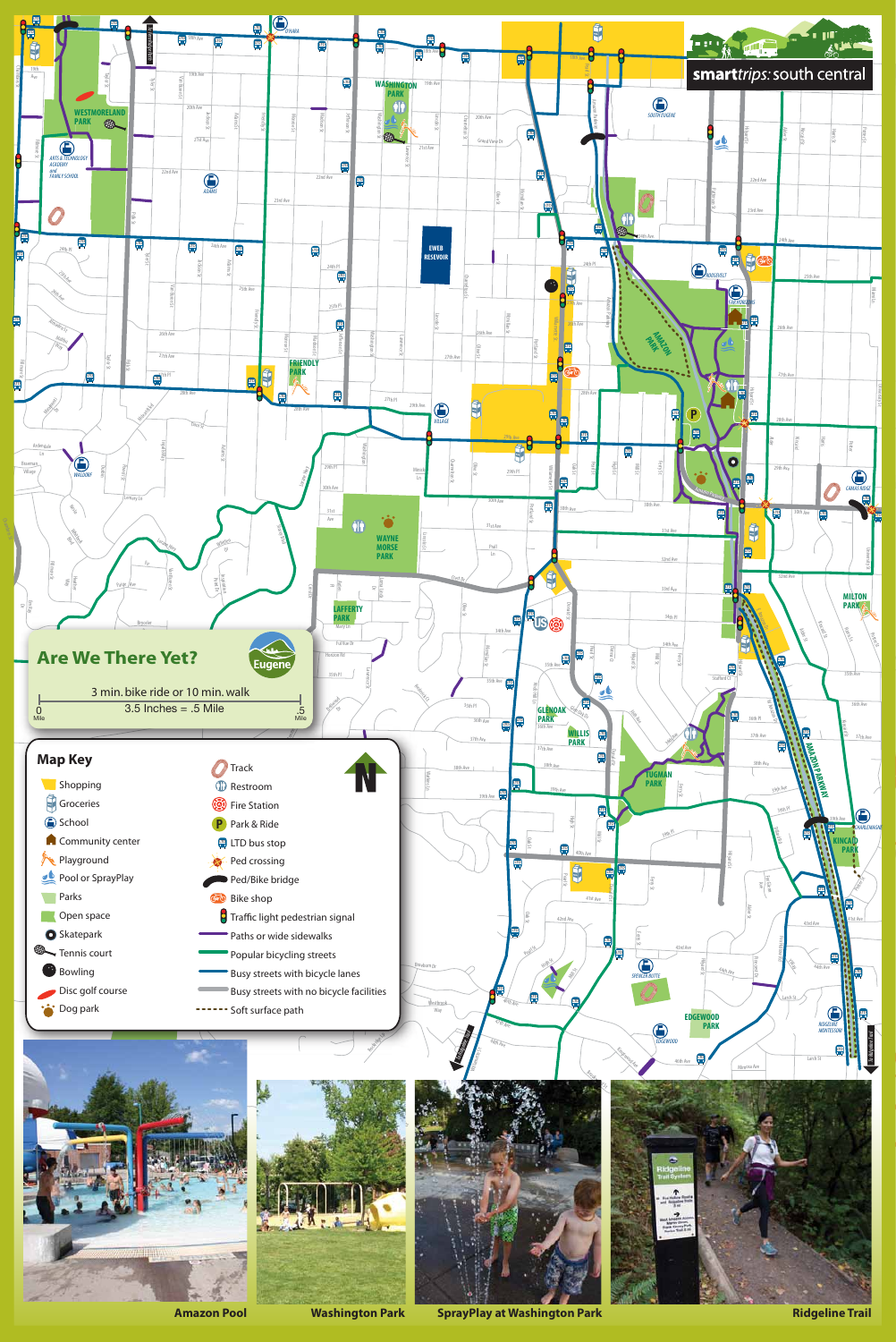